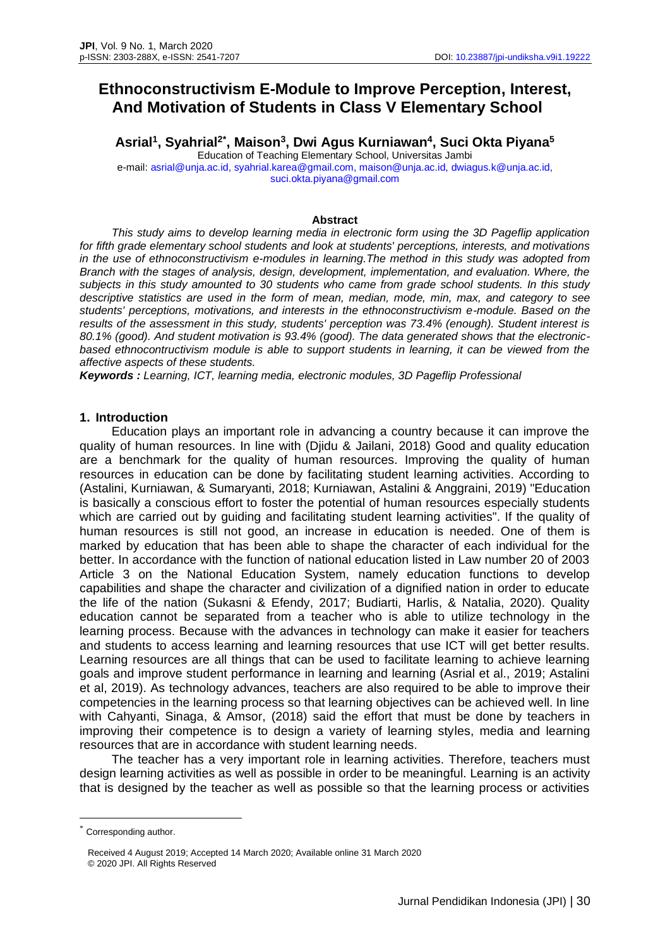# **Ethnoconstructivism E-Module to Improve Perception, Interest, And Motivation of Students in Class V Elementary School**

**Asrial<sup>1</sup> , Syahrial2\* , Maison<sup>3</sup> , Dwi Agus Kurniawan 4 , Suci Okta Piyana 5** Education of Teaching Elementary School, Universitas Jambi e-mail: [asrial@unja.ac.id,](mailto:asrial@unja.ac.id) [syahrial.karea@gmail.com,](mailto:syahrial.karea@gmail.com) [maison@unja.ac.id,](mailto:maison@unja.ac.id) [dwiagus.k@unja.ac.id,](mailto:dwiagus.k@unja.ac.id) suci.okta.piyana@gmail.com

#### **Abstract**

*This study aims to develop learning media in electronic form using the 3D Pageflip application for fifth grade elementary school students and look at students' perceptions, interests, and motivations in the use of ethnoconstructivism e-modules in learning.The method in this study was adopted from Branch with the stages of analysis, design, development, implementation, and evaluation. Where, the subjects in this study amounted to 30 students who came from grade school students. In this study descriptive statistics are used in the form of mean, median, mode, min, max, and category to see students' perceptions, motivations, and interests in the ethnoconstructivism e-module. Based on the results of the assessment in this study, students' perception was 73.4% (enough). Student interest is 80.1% (good). And student motivation is 93.4% (good). The data generated shows that the electronicbased ethnocontructivism module is able to support students in learning, it can be viewed from the affective aspects of these students.*

*Keywords : Learning, ICT, learning media, electronic modules, 3D Pageflip Professional*

# **1. Introduction**

Education plays an important role in advancing a country because it can improve the quality of human resources. In line with (Djidu & Jailani, 2018) Good and quality education are a benchmark for the quality of human resources. Improving the quality of human resources in education can be done by facilitating student learning activities. According to (Astalini, Kurniawan, & Sumaryanti, 2018; Kurniawan, Astalini & Anggraini, 2019) "Education is basically a conscious effort to foster the potential of human resources especially students which are carried out by guiding and facilitating student learning activities". If the quality of human resources is still not good, an increase in education is needed. One of them is marked by education that has been able to shape the character of each individual for the better. In accordance with the function of national education listed in Law number 20 of 2003 Article 3 on the National Education System, namely education functions to develop capabilities and shape the character and civilization of a dignified nation in order to educate the life of the nation (Sukasni & Efendy, 2017; Budiarti, Harlis, & Natalia, 2020). Quality education cannot be separated from a teacher who is able to utilize technology in the learning process. Because with the advances in technology can make it easier for teachers and students to access learning and learning resources that use ICT will get better results. Learning resources are all things that can be used to facilitate learning to achieve learning goals and improve student performance in learning and learning (Asrial et al., 2019; Astalini et al, 2019). As technology advances, teachers are also required to be able to improve their competencies in the learning process so that learning objectives can be achieved well. In line with Cahyanti, Sinaga, & Amsor, (2018) said the effort that must be done by teachers in improving their competence is to design a variety of learning styles, media and learning resources that are in accordance with student learning needs.

The teacher has a very important role in learning activities. Therefore, teachers must design learning activities as well as possible in order to be meaningful. Learning is an activity that is designed by the teacher as well as possible so that the learning process or activities

Corresponding author.

Received 4 August 2019; Accepted 14 March 2020; Available online 31 March 2020 © 2020 JPI. All Rights Reserved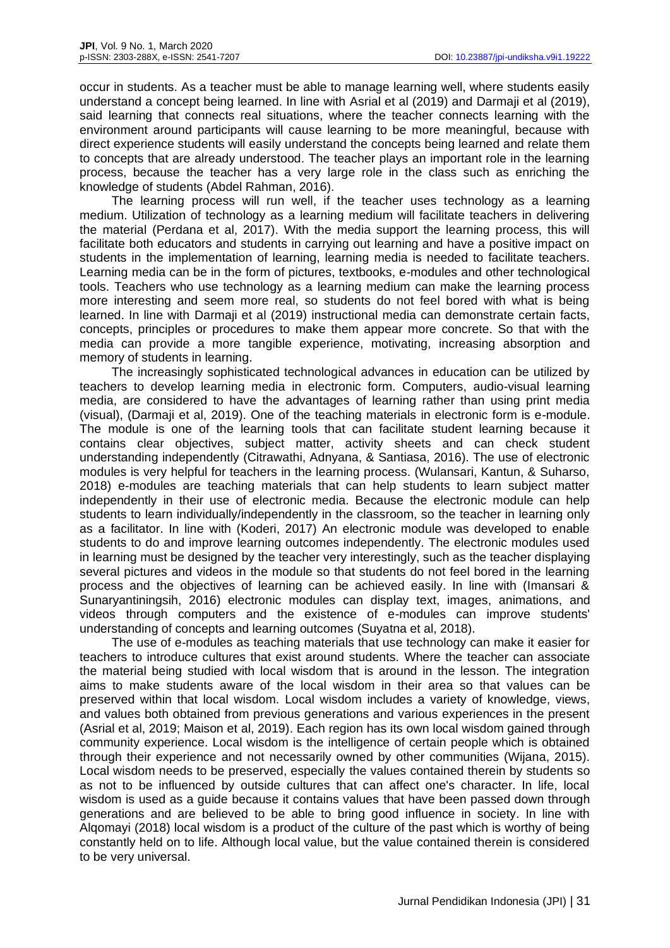occur in students. As a teacher must be able to manage learning well, where students easily understand a concept being learned. In line with Asrial et al (2019) and Darmaji et al (2019), said learning that connects real situations, where the teacher connects learning with the environment around participants will cause learning to be more meaningful, because with direct experience students will easily understand the concepts being learned and relate them to concepts that are already understood. The teacher plays an important role in the learning process, because the teacher has a very large role in the class such as enriching the knowledge of students (Abdel Rahman, 2016).

The learning process will run well, if the teacher uses technology as a learning medium. Utilization of technology as a learning medium will facilitate teachers in delivering the material (Perdana et al, 2017). With the media support the learning process, this will facilitate both educators and students in carrying out learning and have a positive impact on students in the implementation of learning, learning media is needed to facilitate teachers. Learning media can be in the form of pictures, textbooks, e-modules and other technological tools. Teachers who use technology as a learning medium can make the learning process more interesting and seem more real, so students do not feel bored with what is being learned. In line with Darmaji et al (2019) instructional media can demonstrate certain facts, concepts, principles or procedures to make them appear more concrete. So that with the media can provide a more tangible experience, motivating, increasing absorption and memory of students in learning.

The increasingly sophisticated technological advances in education can be utilized by teachers to develop learning media in electronic form. Computers, audio-visual learning media, are considered to have the advantages of learning rather than using print media (visual), (Darmaji et al, 2019). One of the teaching materials in electronic form is e-module. The module is one of the learning tools that can facilitate student learning because it contains clear objectives, subject matter, activity sheets and can check student understanding independently (Citrawathi, Adnyana, & Santiasa, 2016). The use of electronic modules is very helpful for teachers in the learning process. (Wulansari, Kantun, & Suharso, 2018) e-modules are teaching materials that can help students to learn subject matter independently in their use of electronic media. Because the electronic module can help students to learn individually/independently in the classroom, so the teacher in learning only as a facilitator. In line with (Koderi, 2017) An electronic module was developed to enable students to do and improve learning outcomes independently. The electronic modules used in learning must be designed by the teacher very interestingly, such as the teacher displaying several pictures and videos in the module so that students do not feel bored in the learning process and the objectives of learning can be achieved easily. In line with (Imansari & Sunaryantiningsih, 2016) electronic modules can display text, images, animations, and videos through computers and the existence of e-modules can improve students' understanding of concepts and learning outcomes (Suyatna et al, 2018).

The use of e-modules as teaching materials that use technology can make it easier for teachers to introduce cultures that exist around students. Where the teacher can associate the material being studied with local wisdom that is around in the lesson. The integration aims to make students aware of the local wisdom in their area so that values can be preserved within that local wisdom. Local wisdom includes a variety of knowledge, views, and values both obtained from previous generations and various experiences in the present (Asrial et al, 2019; Maison et al, 2019). Each region has its own local wisdom gained through community experience. Local wisdom is the intelligence of certain people which is obtained through their experience and not necessarily owned by other communities (Wijana, 2015). Local wisdom needs to be preserved, especially the values contained therein by students so as not to be influenced by outside cultures that can affect one's character. In life, local wisdom is used as a guide because it contains values that have been passed down through generations and are believed to be able to bring good influence in society. In line with Alqomayi (2018) local wisdom is a product of the culture of the past which is worthy of being constantly held on to life. Although local value, but the value contained therein is considered to be very universal.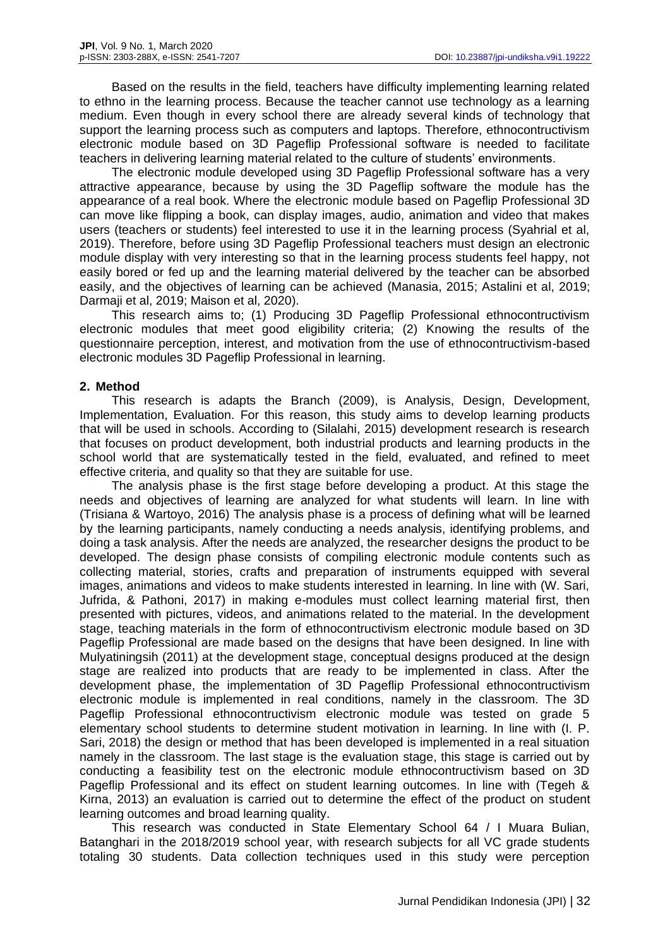Based on the results in the field, teachers have difficulty implementing learning related to ethno in the learning process. Because the teacher cannot use technology as a learning medium. Even though in every school there are already several kinds of technology that support the learning process such as computers and laptops. Therefore, ethnocontructivism electronic module based on 3D Pageflip Professional software is needed to facilitate teachers in delivering learning material related to the culture of students' environments.

The electronic module developed using 3D Pageflip Professional software has a very attractive appearance, because by using the 3D Pageflip software the module has the appearance of a real book. Where the electronic module based on Pageflip Professional 3D can move like flipping a book, can display images, audio, animation and video that makes users (teachers or students) feel interested to use it in the learning process (Syahrial et al, 2019). Therefore, before using 3D Pageflip Professional teachers must design an electronic module display with very interesting so that in the learning process students feel happy, not easily bored or fed up and the learning material delivered by the teacher can be absorbed easily, and the objectives of learning can be achieved (Manasia, 2015; Astalini et al, 2019; Darmaji et al, 2019; Maison et al, 2020).

This research aims to; (1) Producing 3D Pageflip Professional ethnocontructivism electronic modules that meet good eligibility criteria; (2) Knowing the results of the questionnaire perception, interest, and motivation from the use of ethnocontructivism-based electronic modules 3D Pageflip Professional in learning.

# **2. Method**

This research is adapts the Branch (2009), is Analysis, Design, Development, Implementation, Evaluation. For this reason, this study aims to develop learning products that will be used in schools. According to (Silalahi, 2015) development research is research that focuses on product development, both industrial products and learning products in the school world that are systematically tested in the field, evaluated, and refined to meet effective criteria, and quality so that they are suitable for use.

The analysis phase is the first stage before developing a product. At this stage the needs and objectives of learning are analyzed for what students will learn. In line with (Trisiana & Wartoyo, 2016) The analysis phase is a process of defining what will be learned by the learning participants, namely conducting a needs analysis, identifying problems, and doing a task analysis. After the needs are analyzed, the researcher designs the product to be developed. The design phase consists of compiling electronic module contents such as collecting material, stories, crafts and preparation of instruments equipped with several images, animations and videos to make students interested in learning. In line with (W. Sari, Jufrida, & Pathoni, 2017) in making e-modules must collect learning material first, then presented with pictures, videos, and animations related to the material. In the development stage, teaching materials in the form of ethnocontructivism electronic module based on 3D Pageflip Professional are made based on the designs that have been designed. In line with Mulyatiningsih (2011) at the development stage, conceptual designs produced at the design stage are realized into products that are ready to be implemented in class. After the development phase, the implementation of 3D Pageflip Professional ethnocontructivism electronic module is implemented in real conditions, namely in the classroom. The 3D Pageflip Professional ethnocontructivism electronic module was tested on grade 5 elementary school students to determine student motivation in learning. In line with (I. P. Sari, 2018) the design or method that has been developed is implemented in a real situation namely in the classroom. The last stage is the evaluation stage, this stage is carried out by conducting a feasibility test on the electronic module ethnocontructivism based on 3D Pageflip Professional and its effect on student learning outcomes. In line with (Tegeh & Kirna, 2013) an evaluation is carried out to determine the effect of the product on student learning outcomes and broad learning quality.

This research was conducted in State Elementary School 64 / I Muara Bulian, Batanghari in the 2018/2019 school year, with research subjects for all VC grade students totaling 30 students. Data collection techniques used in this study were perception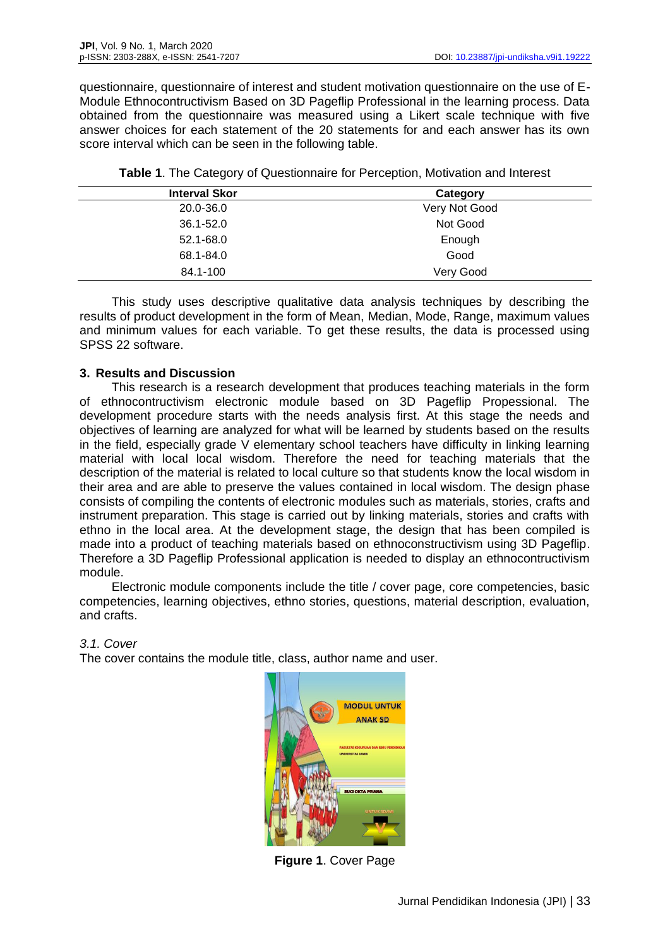questionnaire, questionnaire of interest and student motivation questionnaire on the use of E-Module Ethnocontructivism Based on 3D Pageflip Professional in the learning process. Data obtained from the questionnaire was measured using a Likert scale technique with five answer choices for each statement of the 20 statements for and each answer has its own score interval which can be seen in the following table.

| <b>Interval Skor</b> | Category      |  |
|----------------------|---------------|--|
| 20.0-36.0            | Very Not Good |  |
| 36.1-52.0            | Not Good      |  |
| 52.1-68.0            | Enough        |  |
| 68.1-84.0            | Good          |  |
| 84.1-100             | Very Good     |  |

**Table 1**. The Category of Questionnaire for Perception, Motivation and Interest

This study uses descriptive qualitative data analysis techniques by describing the results of product development in the form of Mean, Median, Mode, Range, maximum values and minimum values for each variable. To get these results, the data is processed using SPSS 22 software.

# **3. Results and Discussion**

This research is a research development that produces teaching materials in the form of ethnocontructivism electronic module based on 3D Pageflip Propessional. The development procedure starts with the needs analysis first. At this stage the needs and objectives of learning are analyzed for what will be learned by students based on the results in the field, especially grade V elementary school teachers have difficulty in linking learning material with local local wisdom. Therefore the need for teaching materials that the description of the material is related to local culture so that students know the local wisdom in their area and are able to preserve the values contained in local wisdom. The design phase consists of compiling the contents of electronic modules such as materials, stories, crafts and instrument preparation. This stage is carried out by linking materials, stories and crafts with ethno in the local area. At the development stage, the design that has been compiled is made into a product of teaching materials based on ethnoconstructivism using 3D Pageflip. Therefore a 3D Pageflip Professional application is needed to display an ethnocontructivism module.

Electronic module components include the title / cover page, core competencies, basic competencies, learning objectives, ethno stories, questions, material description, evaluation, and crafts.

# *3.1. Cover*

The cover contains the module title, class, author name and user.



**Figure 1**. Cover Page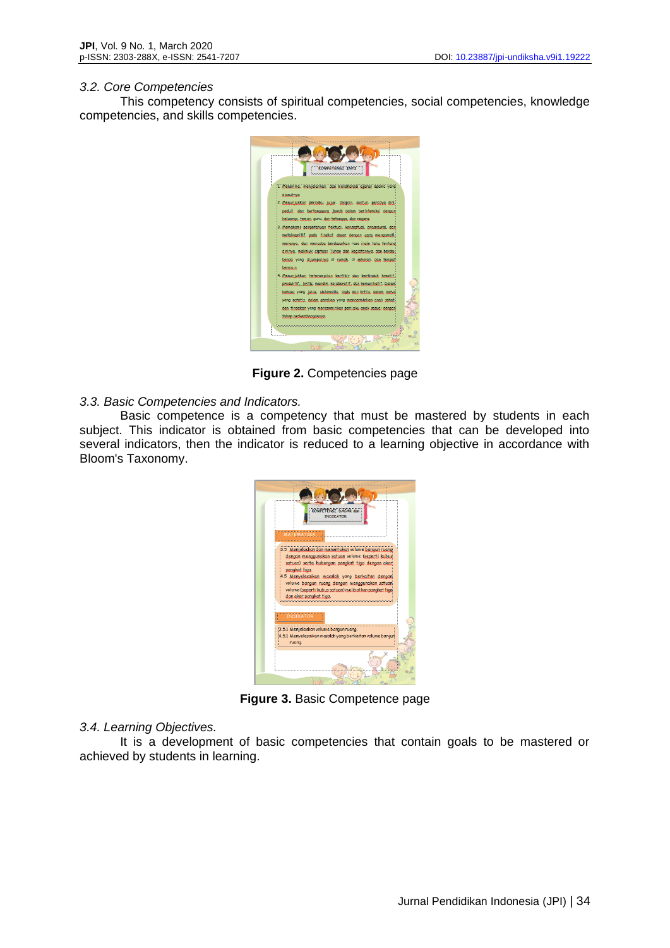#### *3.2. Core Competencies*

This competency consists of spiritual competencies, social competencies, knowledge competencies, and skills competencies.



**Figure 2.** Competencies page

# *3.3. Basic Competencies and Indicators.*

Basic competence is a competency that must be mastered by students in each subject. This indicator is obtained from basic competencies that can be developed into several indicators, then the indicator is reduced to a learning objective in accordance with Bloom's Taxonomy.



**Figure 3.** Basic Competence page

### *3.4. Learning Objectives.*

It is a development of basic competencies that contain goals to be mastered or achieved by students in learning.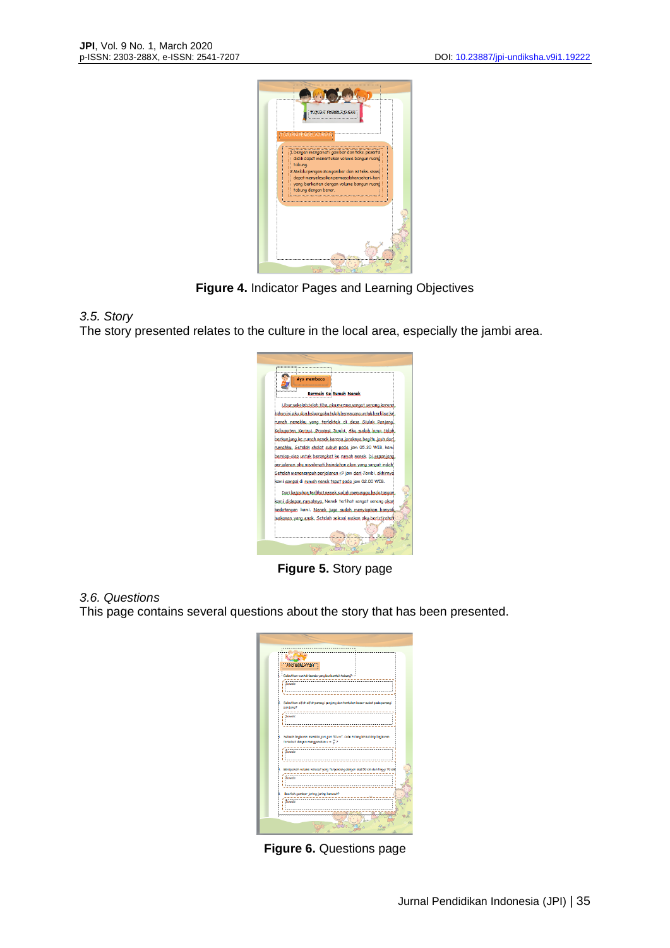

**Figure 4.** Indicator Pages and Learning Objectives

*3.5. Story*

The story presented relates to the culture in the local area, especially the jambi area.



**Figure 5.** Story page

# *3.6. Questions*

This page contains several questions about the story that has been presented.

| <b>CATE OF</b><br><b>AYO BERLATIH</b><br>. Sabutkan cantah banda yang barbantuk tabung?!                                                  |
|-------------------------------------------------------------------------------------------------------------------------------------------|
| <b>Jawab</b> :<br><b><i><u><u><u><u></u></u></u></u></i></b>                                                                              |
| Sebutkan sifat-sifat persegi panjang dan tentukan besar sudut pada persegi<br>panjang?<br><b>Tawab</b><br>ï<br>٠                          |
| Sebuah lingkaran memiliki jari-jari 50cm2. Coba hitungiah keliling lingkaran<br>tersebut darigin manggunakan $x = \frac{27}{3}$ ?<br>ï    |
| Berapakah volume karucut yang terpancung dengan alas 50 cm dan tinggi 70 cm3<br>Tawab:<br>ī<br>ı                                          |
| b<br>Buatlah gambar jaring jaring kerucut?<br>Tawab:<br><br>,,,,,,,,,,,,,,,,,,,,,,,,,,,,,,<br><b>MAANAHAANAHAANA</b><br><b>Www.www.ww</b> |
|                                                                                                                                           |

**Figure 6.** Questions page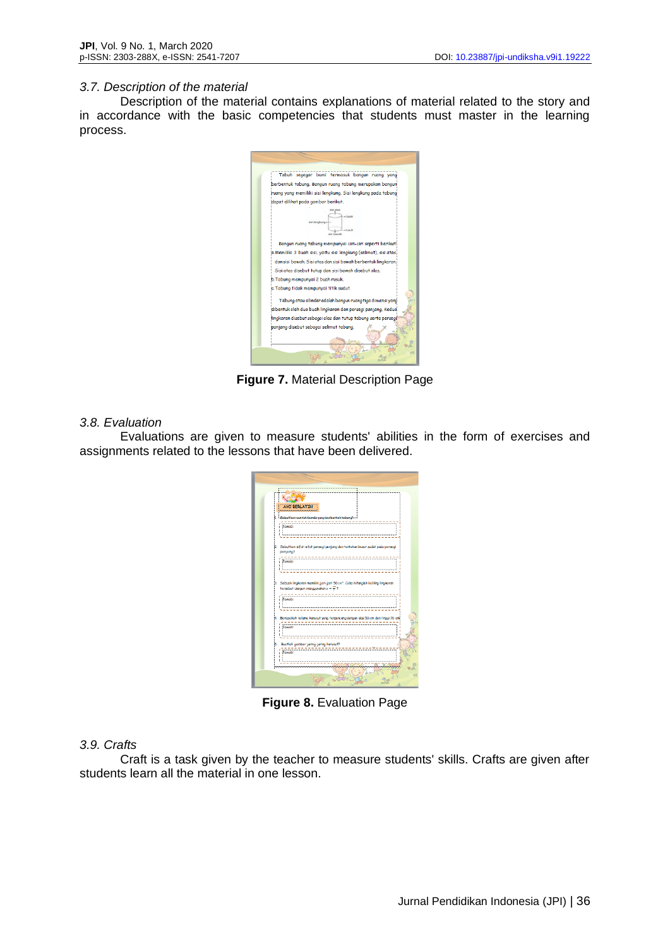#### *3.7. Description of the material*

Description of the material contains explanations of material related to the story and in accordance with the basic competencies that students must master in the learning process.



**Figure 7.** Material Description Page

#### *3.8. Evaluation*

Evaluations are given to measure students' abilities in the form of exercises and assignments related to the lessons that have been delivered.

| <b>ALL HORA</b><br><b>AYO BERLATIH</b><br><u><i><u>immumumumumumumu</u></i></u><br>- Sabuthan cantah banda yang barbantuk tabung?                                 |  |
|-------------------------------------------------------------------------------------------------------------------------------------------------------------------|--|
| Tawab:                                                                                                                                                            |  |
| Sebutkan sifat-sifat persegi panjang dan tentukan besar sudut pada persegi<br>panjang?<br><b>Jawab</b>                                                            |  |
| Sebuah Ingkaran memiliki jari-jari 50cm <sup>2</sup> . Coba hitungkh keliling lingkaran<br>tersebut dargen manggunakan $x = \frac{27}{7}$ ?<br><b>Tawab:</b><br>١ |  |
| Berapakah volume kerucut yang terpancung dengan das 50 cm dan tinggi 70 cm<br>i Tawab:                                                                            |  |
| Buatlah gambar jaring-jaring karucut?<br>ō<br>-----------<br><b>Tawab:</b><br>dE                                                                                  |  |
|                                                                                                                                                                   |  |

**Figure 8.** Evaluation Page

#### *3.9. Crafts*

Craft is a task given by the teacher to measure students' skills. Crafts are given after students learn all the material in one lesson.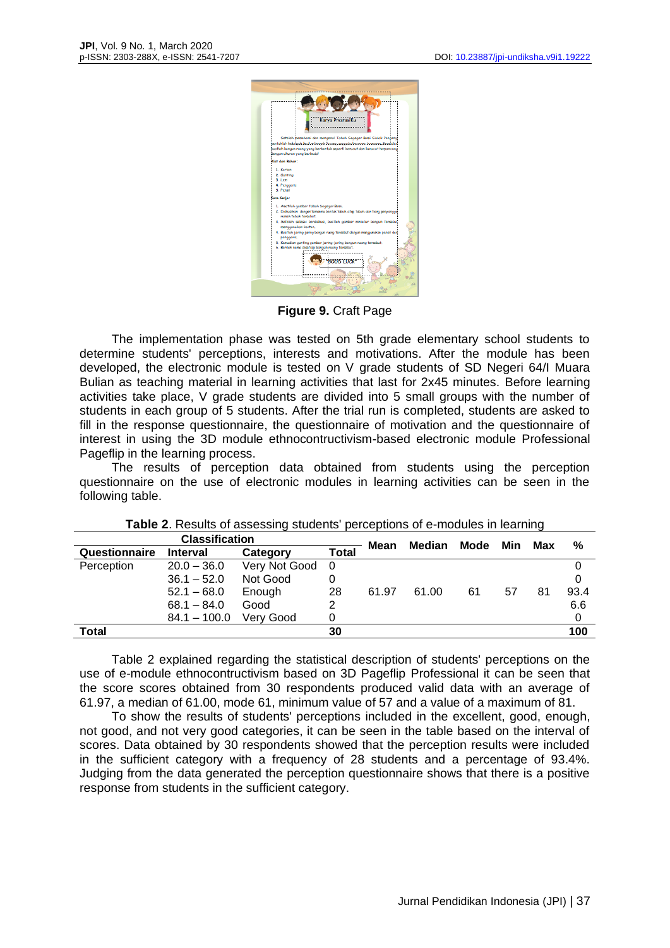

**Figure 9.** Craft Page

The implementation phase was tested on 5th grade elementary school students to determine students' perceptions, interests and motivations. After the module has been developed, the electronic module is tested on V grade students of SD Negeri 64/I Muara Bulian as teaching material in learning activities that last for 2x45 minutes. Before learning activities take place, V grade students are divided into 5 small groups with the number of students in each group of 5 students. After the trial run is completed, students are asked to fill in the response questionnaire, the questionnaire of motivation and the questionnaire of interest in using the 3D module ethnocontructivism-based electronic module Professional Pageflip in the learning process.

The results of perception data obtained from students using the perception questionnaire on the use of electronic modules in learning activities can be seen in the following table.

| <b>Classification</b> |                 |               |              | Mean  | Median | Mode | Min | Max | %    |
|-----------------------|-----------------|---------------|--------------|-------|--------|------|-----|-----|------|
| Questionnaire         | <b>Interval</b> | Category      | <b>Total</b> |       |        |      |     |     |      |
| Perception            | $20.0 - 36.0$   | Very Not Good | -0           |       |        |      |     |     |      |
|                       | $36.1 - 52.0$   | Not Good      |              |       |        |      |     |     | 0    |
|                       | $52.1 - 68.0$   | Enough        | 28           | 61.97 | 61.00  | 61   | 57  | 81  | 93.4 |
|                       | $68.1 - 84.0$   | Good          | 2            |       |        |      |     |     | 6.6  |
|                       | $84.1 - 100.0$  | Verv Good     |              |       |        |      |     |     |      |
| Total                 |                 |               | 30           |       |        |      |     |     | 100  |

Table 2 explained regarding the statistical description of students' perceptions on the use of e-module ethnocontructivism based on 3D Pageflip Professional it can be seen that the score scores obtained from 30 respondents produced valid data with an average of 61.97, a median of 61.00, mode 61, minimum value of 57 and a value of a maximum of 81.

To show the results of students' perceptions included in the excellent, good, enough, not good, and not very good categories, it can be seen in the table based on the interval of scores. Data obtained by 30 respondents showed that the perception results were included in the sufficient category with a frequency of 28 students and a percentage of 93.4%. Judging from the data generated the perception questionnaire shows that there is a positive response from students in the sufficient category.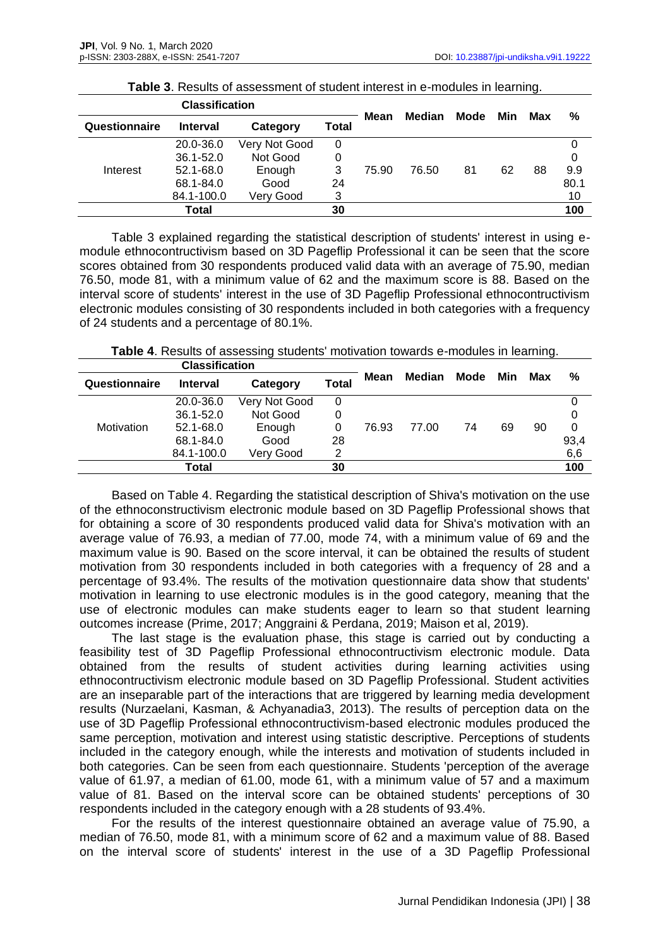| <b>Classification</b> |                 |               |       | <b>Median</b> | Mode  |    |     |     |      |
|-----------------------|-----------------|---------------|-------|---------------|-------|----|-----|-----|------|
| Questionnaire         | <b>Interval</b> | Category      | Total | Mean          |       |    | Min | Max | %    |
| Interest              | 20.0-36.0       | Very Not Good | 0     |               |       |    |     |     | 0    |
|                       | 36.1-52.0       | Not Good      | 0     |               |       |    |     |     | 0    |
|                       | 52.1-68.0       | Enough        | 3     | 75.90         | 76.50 | 81 | 62  | 88  | 9.9  |
|                       | 68.1-84.0       | Good          | 24    |               |       |    |     |     | 80.1 |
|                       | 84.1-100.0      | Verv Good     | 3     |               |       |    |     |     | 10   |
|                       | Total           |               | 30    |               |       |    |     |     | 100  |

|  |  | Table 3. Results of assessment of student interest in e-modules in learning. |  |  |  |  |
|--|--|------------------------------------------------------------------------------|--|--|--|--|
|--|--|------------------------------------------------------------------------------|--|--|--|--|

Table 3 explained regarding the statistical description of students' interest in using emodule ethnocontructivism based on 3D Pageflip Professional it can be seen that the score scores obtained from 30 respondents produced valid data with an average of 75.90, median 76.50, mode 81, with a minimum value of 62 and the maximum score is 88. Based on the interval score of students' interest in the use of 3D Pageflip Professional ethnocontructivism electronic modules consisting of 30 respondents included in both categories with a frequency of 24 students and a percentage of 80.1%.

| <b>Table 4.</b> Results of assessing students' motivation towards e-modules in learning. |  |
|------------------------------------------------------------------------------------------|--|
|------------------------------------------------------------------------------------------|--|

| <b>Classification</b> |                 |               |       |       |        |      |     |     |      |
|-----------------------|-----------------|---------------|-------|-------|--------|------|-----|-----|------|
| Questionnaire         | <b>Interval</b> | Category      | Total | Mean  | Median | Mode | Min | Max | %    |
| Motivation            | 20.0-36.0       | Very Not Good | 0     | 76.93 | 77.00  | 74   | 69  | 90  |      |
|                       | $36.1 - 52.0$   | Not Good      |       |       |        |      |     |     | 0    |
|                       | 52.1-68.0       | Enough        | 0     |       |        |      |     |     | 0    |
|                       | 68.1-84.0       | Good          | 28    |       |        |      |     |     | 93,4 |
|                       | 84.1-100.0      | Very Good     | 2     |       |        |      |     |     | 6,6  |
|                       | Total           |               | 30    |       |        |      |     |     | 100  |

Based on Table 4. Regarding the statistical description of Shiva's motivation on the use of the ethnoconstructivism electronic module based on 3D Pageflip Professional shows that for obtaining a score of 30 respondents produced valid data for Shiva's motivation with an average value of 76.93, a median of 77.00, mode 74, with a minimum value of 69 and the maximum value is 90. Based on the score interval, it can be obtained the results of student motivation from 30 respondents included in both categories with a frequency of 28 and a percentage of 93.4%. The results of the motivation questionnaire data show that students' motivation in learning to use electronic modules is in the good category, meaning that the use of electronic modules can make students eager to learn so that student learning outcomes increase (Prime, 2017; Anggraini & Perdana, 2019; Maison et al, 2019).

The last stage is the evaluation phase, this stage is carried out by conducting a feasibility test of 3D Pageflip Professional ethnocontructivism electronic module. Data obtained from the results of student activities during learning activities using ethnocontructivism electronic module based on 3D Pageflip Professional. Student activities are an inseparable part of the interactions that are triggered by learning media development results (Nurzaelani, Kasman, & Achyanadia3, 2013). The results of perception data on the use of 3D Pageflip Professional ethnocontructivism-based electronic modules produced the same perception, motivation and interest using statistic descriptive. Perceptions of students included in the category enough, while the interests and motivation of students included in both categories. Can be seen from each questionnaire. Students 'perception of the average value of 61.97, a median of 61.00, mode 61, with a minimum value of 57 and a maximum value of 81. Based on the interval score can be obtained students' perceptions of 30 respondents included in the category enough with a 28 students of 93.4%.

For the results of the interest questionnaire obtained an average value of 75.90, a median of 76.50, mode 81, with a minimum score of 62 and a maximum value of 88. Based on the interval score of students' interest in the use of a 3D Pageflip Professional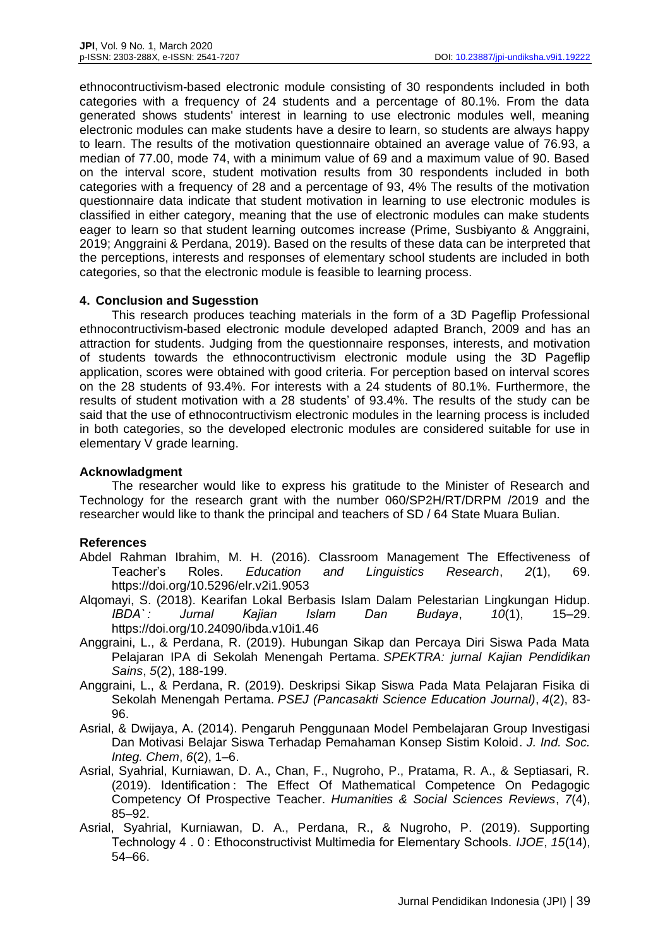ethnocontructivism-based electronic module consisting of 30 respondents included in both categories with a frequency of 24 students and a percentage of 80.1%. From the data generated shows students' interest in learning to use electronic modules well, meaning electronic modules can make students have a desire to learn, so students are always happy to learn. The results of the motivation questionnaire obtained an average value of 76.93, a median of 77.00, mode 74, with a minimum value of 69 and a maximum value of 90. Based on the interval score, student motivation results from 30 respondents included in both categories with a frequency of 28 and a percentage of 93, 4% The results of the motivation questionnaire data indicate that student motivation in learning to use electronic modules is classified in either category, meaning that the use of electronic modules can make students eager to learn so that student learning outcomes increase (Prime, Susbiyanto & Anggraini, 2019; Anggraini & Perdana, 2019). Based on the results of these data can be interpreted that the perceptions, interests and responses of elementary school students are included in both categories, so that the electronic module is feasible to learning process.

### **4. Conclusion and Sugesstion**

This research produces teaching materials in the form of a 3D Pageflip Professional ethnocontructivism-based electronic module developed adapted Branch, 2009 and has an attraction for students. Judging from the questionnaire responses, interests, and motivation of students towards the ethnocontructivism electronic module using the 3D Pageflip application, scores were obtained with good criteria. For perception based on interval scores on the 28 students of 93.4%. For interests with a 24 students of 80.1%. Furthermore, the results of student motivation with a 28 students' of 93.4%. The results of the study can be said that the use of ethnocontructivism electronic modules in the learning process is included in both categories, so the developed electronic modules are considered suitable for use in elementary V grade learning.

## **Acknowladgment**

The researcher would like to express his gratitude to the Minister of Research and Technology for the research grant with the number 060/SP2H/RT/DRPM /2019 and the researcher would like to thank the principal and teachers of SD / 64 State Muara Bulian.

### **References**

- Abdel Rahman Ibrahim, M. H. (2016). Classroom Management The Effectiveness of Teacher's Roles. *Education and Linguistics Research*, *2*(1), 69. https://doi.org/10.5296/elr.v2i1.9053
- Alqomayi, S. (2018). Kearifan Lokal Berbasis Islam Dalam Pelestarian Lingkungan Hidup. *IBDA` : Jurnal Kajian Islam Dan Budaya*, *10*(1), 15–29. https://doi.org/10.24090/ibda.v10i1.46
- Anggraini, L., & Perdana, R. (2019). Hubungan Sikap dan Percaya Diri Siswa Pada Mata Pelajaran IPA di Sekolah Menengah Pertama. *SPEKTRA: jurnal Kajian Pendidikan Sains*, *5*(2), 188-199.
- Anggraini, L., & Perdana, R. (2019). Deskripsi Sikap Siswa Pada Mata Pelajaran Fisika di Sekolah Menengah Pertama. *PSEJ (Pancasakti Science Education Journal)*, *4*(2), 83- 96.
- Asrial, & Dwijaya, A. (2014). Pengaruh Penggunaan Model Pembelajaran Group Investigasi Dan Motivasi Belajar Siswa Terhadap Pemahaman Konsep Sistim Koloid. *J. Ind. Soc. Integ. Chem*, *6*(2), 1–6.
- Asrial, Syahrial, Kurniawan, D. A., Chan, F., Nugroho, P., Pratama, R. A., & Septiasari, R. (2019). Identification : The Effect Of Mathematical Competence On Pedagogic Competency Of Prospective Teacher. *Humanities & Social Sciences Reviews*, *7*(4), 85–92.
- Asrial, Syahrial, Kurniawan, D. A., Perdana, R., & Nugroho, P. (2019). Supporting Technology 4 . 0 : Ethoconstructivist Multimedia for Elementary Schools. *IJOE*, *15*(14), 54–66.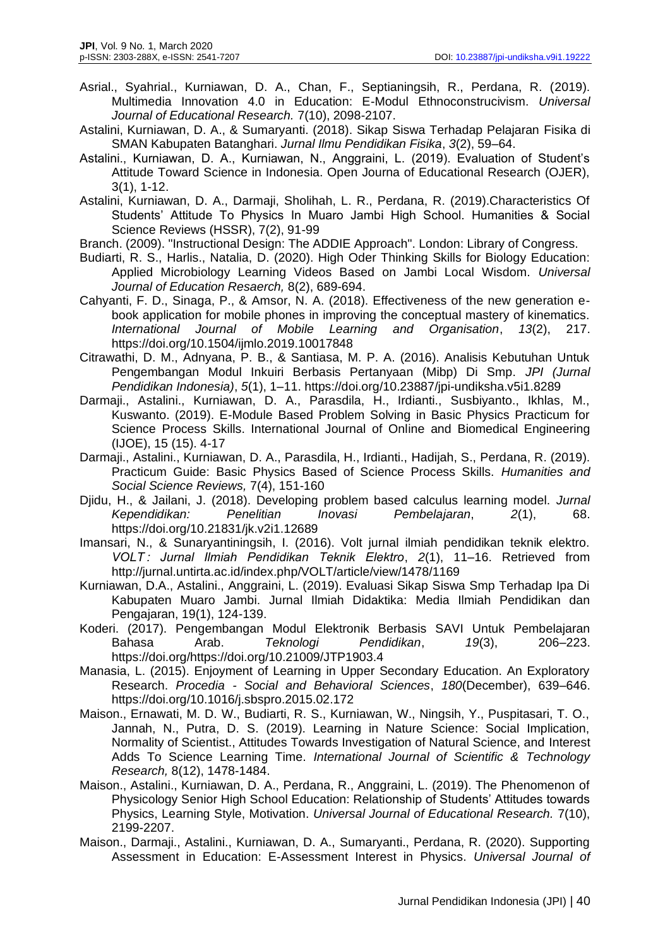- Asrial., Syahrial., Kurniawan, D. A., Chan, F., Septianingsih, R., Perdana, R. (2019). Multimedia Innovation 4.0 in Education: E-Modul Ethnoconstrucivism. *Universal Journal of Educational Research.* 7(10), 2098-2107.
- Astalini, Kurniawan, D. A., & Sumaryanti. (2018). Sikap Siswa Terhadap Pelajaran Fisika di SMAN Kabupaten Batanghari. *Jurnal Ilmu Pendidikan Fisika*, *3*(2), 59–64.
- Astalini., Kurniawan, D. A., Kurniawan, N., Anggraini, L. (2019). Evaluation of Student's Attitude Toward Science in Indonesia. Open Journa of Educational Research (OJER), 3(1), 1-12.
- Astalini, Kurniawan, D. A., Darmaji, Sholihah, L. R., Perdana, R. (2019).Characteristics Of Students' Attitude To Physics In Muaro Jambi High School. Humanities & Social Science Reviews (HSSR), 7(2), 91-99
- Branch. (2009). "Instructional Design: The ADDIE Approach". London: Library of Congress.
- Budiarti, R. S., Harlis., Natalia, D. (2020). High Oder Thinking Skills for Biology Education: Applied Microbiology Learning Videos Based on Jambi Local Wisdom. *Universal Journal of Education Resaerch,* 8(2), 689-694.
- Cahyanti, F. D., Sinaga, P., & Amsor, N. A. (2018). Effectiveness of the new generation ebook application for mobile phones in improving the conceptual mastery of kinematics. *International Journal of Mobile Learning and Organisation*, *13*(2), 217. https://doi.org/10.1504/ijmlo.2019.10017848
- Citrawathi, D. M., Adnyana, P. B., & Santiasa, M. P. A. (2016). Analisis Kebutuhan Untuk Pengembangan Modul Inkuiri Berbasis Pertanyaan (Mibp) Di Smp. *JPI (Jurnal Pendidikan Indonesia)*, *5*(1), 1–11. https://doi.org/10.23887/jpi-undiksha.v5i1.8289
- Darmaji., Astalini., Kurniawan, D. A., Parasdila, H., Irdianti., Susbiyanto., Ikhlas, M., Kuswanto. (2019). E-Module Based Problem Solving in Basic Physics Practicum for Science Process Skills. International Journal of Online and Biomedical Engineering (IJOE), 15 (15). 4-17
- Darmaji., Astalini., Kurniawan, D. A., Parasdila, H., Irdianti., Hadijah, S., Perdana, R. (2019). Practicum Guide: Basic Physics Based of Science Process Skills. *Humanities and Social Science Reviews,* 7(4), 151-160
- Djidu, H., & Jailani, J. (2018). Developing problem based calculus learning model. *Jurnal Kependidikan: Penelitian Inovasi Pembelajaran*, *2*(1), 68. https://doi.org/10.21831/jk.v2i1.12689
- Imansari, N., & Sunaryantiningsih, I. (2016). Volt jurnal ilmiah pendidikan teknik elektro. *VOLT : Jurnal Ilmiah Pendidikan Teknik Elektro*, *2*(1), 11–16. Retrieved from http://jurnal.untirta.ac.id/index.php/VOLT/article/view/1478/1169
- Kurniawan, D.A., Astalini., Anggraini, L. (2019). Evaluasi Sikap Siswa Smp Terhadap Ipa Di Kabupaten Muaro Jambi. Jurnal Ilmiah Didaktika: Media Ilmiah Pendidikan dan Pengajaran, 19(1), 124-139.
- Koderi. (2017). Pengembangan Modul Elektronik Berbasis SAVI Untuk Pembelajaran Bahasa Arab. *Teknologi Pendidikan*, *19*(3), 206–223. https://doi.org/https://doi.org/10.21009/JTP1903.4
- Manasia, L. (2015). Enjoyment of Learning in Upper Secondary Education. An Exploratory Research. *Procedia - Social and Behavioral Sciences*, *180*(December), 639–646. https://doi.org/10.1016/j.sbspro.2015.02.172
- Maison., Ernawati, M. D. W., Budiarti, R. S., Kurniawan, W., Ningsih, Y., Puspitasari, T. O., Jannah, N., Putra, D. S. (2019). Learning in Nature Science: Social Implication, Normality of Scientist., Attitudes Towards Investigation of Natural Science, and Interest Adds To Science Learning Time. *International Journal of Scientific & Technology Research,* 8(12), 1478-1484.
- Maison., Astalini., Kurniawan, D. A., Perdana, R., Anggraini, L. (2019). The Phenomenon of Physicology Senior High School Education: Relationship of Students' Attitudes towards Physics, Learning Style, Motivation. *Universal Journal of Educational Research.* 7(10), 2199-2207.
- Maison., Darmaji., Astalini., Kurniawan, D. A., Sumaryanti., Perdana, R. (2020). Supporting Assessment in Education: E-Assessment Interest in Physics. *Universal Journal of*